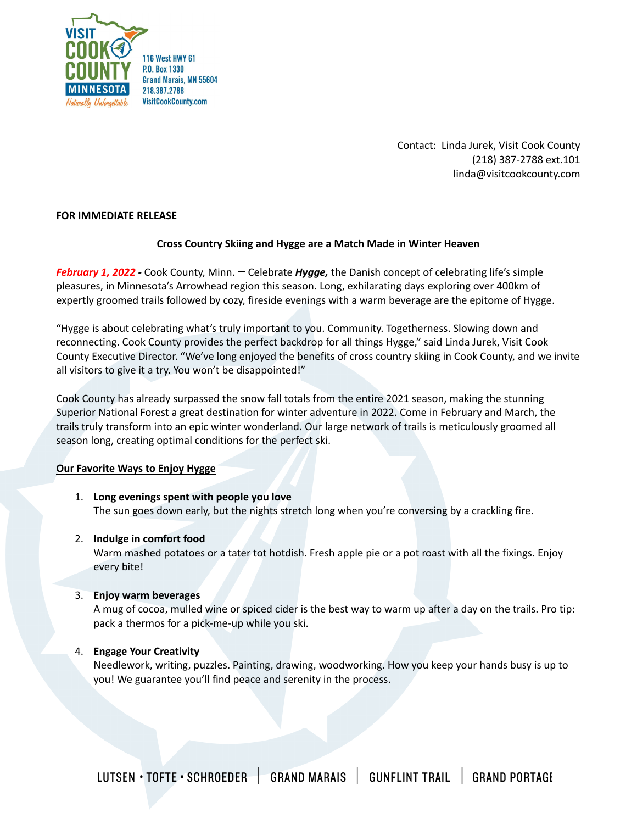

Contact: Linda Jurek, Visit Cook County (218) 387-2788 ext.101 linda@visitcookcounty.com

## **FOR IMMEDIATE RELEASE**

# **Cross Country Skiing and Hygge are a Match Made in Winter Heaven**

*February* 1, 2022 - Cook County, Minn. - Celebrate *Hygge*, the Danish concept of celebrating life's simple pleasures, in Minnesota's Arrowhead region this season. Long, exhilarating days exploring over 400km of expertly groomed trails followed by cozy, fireside evenings with a warm beverage are the epitome of Hygge.

"Hygge is about celebrating what's truly important to you. Community. Togetherness. Slowing down and reconnecting. Cook County provides the perfect backdrop for all things Hygge," said Linda Jurek, Visit Cook County Executive Director. "We've long enjoyed the benefits of cross country skiing in Cook County, and we invite all visitors to give it a try. You won't be disappointed!"

Cook County has already surpassed the snow fall totals from the entire 2021 season, making the stunning Superior National Forest a great destination for winter adventure in 2022. Come in February and March, the trails truly transform into an epic winter wonderland. Our large network of trails is meticulously groomed all season long, creating optimal conditions for the perfect ski.

### **Our Favorite Ways to Enjoy Hygge**

1. **Long evenings spent with people you love** The sun goes down early, but the nights stretch long when you're conversing by a crackling fire.

### 2. **Indulge in comfort food**

Warm mashed potatoes or a tater tot hotdish. Fresh apple pie or a pot roast with all the fixings. Enjoy every bite!

### 3. **Enjoy warm beverages**

A mug of cocoa, mulled wine or spiced cider is the best way to warm up after a day on the trails. Pro tip: pack a thermos for a pick-me-up while you ski.

# 4. **Engage Your Creativity**

Needlework, writing, puzzles. Painting, drawing, woodworking. How you keep your hands busy is up to you! We guarantee you'll find peace and serenity in the process.